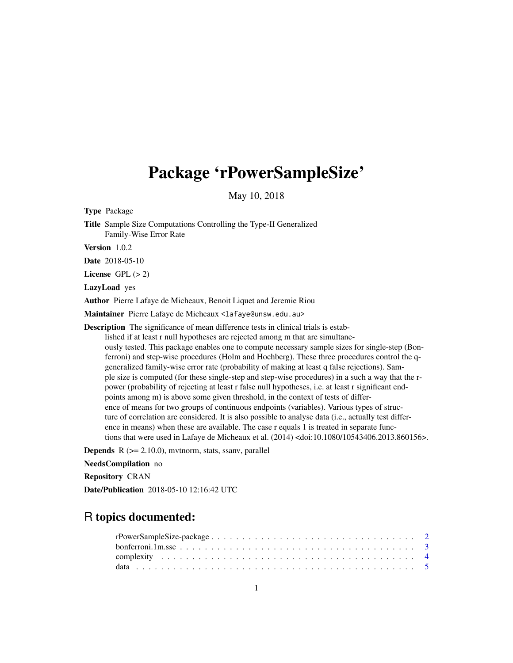## Package 'rPowerSampleSize'

May 10, 2018

Type Package Title Sample Size Computations Controlling the Type-II Generalized Family-Wise Error Rate Version 1.0.2 Date 2018-05-10 License GPL  $(> 2)$ LazyLoad yes Author Pierre Lafaye de Micheaux, Benoit Liquet and Jeremie Riou Maintainer Pierre Lafaye de Micheaux <lafaye@unsw.edu.au> Description The significance of mean difference tests in clinical trials is established if at least r null hypotheses are rejected among m that are simultaneously tested. This package enables one to compute necessary sample sizes for single-step (Bonferroni) and step-wise procedures (Holm and Hochberg). These three procedures control the qgeneralized family-wise error rate (probability of making at least q false rejections). Sample size is computed (for these single-step and step-wise procedures) in a such a way that the rpower (probability of rejecting at least r false null hypotheses, i.e. at least r significant endpoints among m) is above some given threshold, in the context of tests of difference of means for two groups of continuous endpoints (variables). Various types of structure of correlation are considered. It is also possible to analyse data (i.e., actually test difference in means) when these are available. The case r equals 1 is treated in separate functions that were used in Lafaye de Micheaux et al. (2014) <doi:10.1080/10543406.2013.860156>. **Depends**  $R$  ( $>= 2.10.0$ ), mythorm, stats, ssanv, parallel NeedsCompilation no

Repository CRAN

Date/Publication 2018-05-10 12:16:42 UTC

## R topics documented: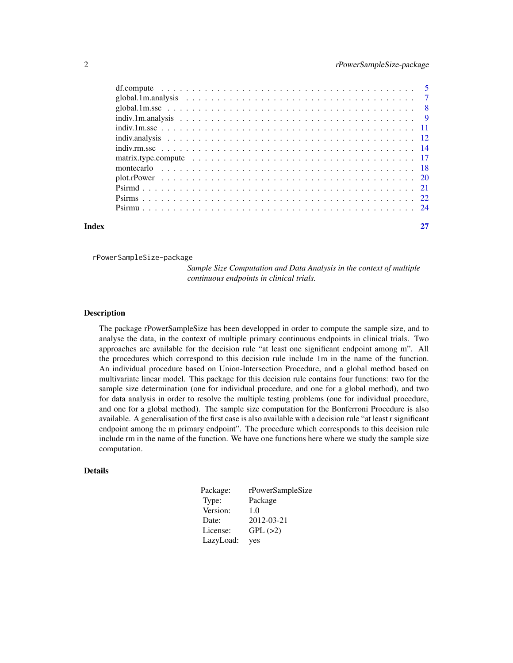<span id="page-1-0"></span>

| Index | 27 |
|-------|----|

rPowerSampleSize-package

*Sample Size Computation and Data Analysis in the context of multiple continuous endpoints in clinical trials.*

## **Description**

The package rPowerSampleSize has been developped in order to compute the sample size, and to analyse the data, in the context of multiple primary continuous endpoints in clinical trials. Two approaches are available for the decision rule "at least one significant endpoint among m". All the procedures which correspond to this decision rule include 1m in the name of the function. An individual procedure based on Union-Intersection Procedure, and a global method based on multivariate linear model. This package for this decision rule contains four functions: two for the sample size determination (one for individual procedure, and one for a global method), and two for data analysis in order to resolve the multiple testing problems (one for individual procedure, and one for a global method). The sample size computation for the Bonferroni Procedure is also available. A generalisation of the first case is also available with a decision rule "at least r significant endpoint among the m primary endpoint". The procedure which corresponds to this decision rule include rm in the name of the function. We have one functions here where we study the sample size computation.

## Details

| Package:  | rPowerSampleSize |
|-----------|------------------|
| Type:     | Package          |
| Version:  | 1.0              |
| Date:     | 2012-03-21       |
| License:  | GPL(>2)          |
| LazyLoad: | yes              |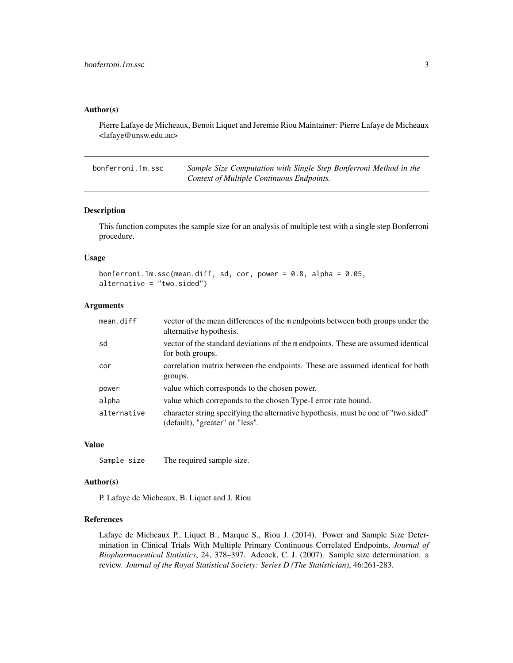#### <span id="page-2-0"></span>Author(s)

Pierre Lafaye de Micheaux, Benoit Liquet and Jeremie Riou Maintainer: Pierre Lafaye de Micheaux <lafaye@unsw.edu.au>

<span id="page-2-1"></span>bonferroni.1m.ssc *Sample Size Computation with Single Step Bonferroni Method in the Context of Multiple Continuous Endpoints.*

## Description

This function computes the sample size for an analysis of multiple test with a single step Bonferroni procedure.

#### Usage

```
bonferroni.1m.ssc(mean.diff, sd, cor, power = 0.8, alpha = 0.05,
alternative = "two.sided")
```
## Arguments

| mean.diff   | vector of the mean differences of the m endpoints between both groups under the<br>alternative hypothesis.            |
|-------------|-----------------------------------------------------------------------------------------------------------------------|
| sd          | vector of the standard deviations of the mendpoints. These are assumed identical<br>for both groups.                  |
| cor         | correlation matrix between the endpoints. These are assumed identical for both<br>groups.                             |
| power       | value which corresponds to the chosen power.                                                                          |
| alpha       | value which correponds to the chosen Type-I error rate bound.                                                         |
| alternative | character string specifying the alternative hypothesis, must be one of "two sided"<br>(default), "greater" or "less". |

#### Value

Sample size The required sample size.

#### Author(s)

P. Lafaye de Micheaux, B. Liquet and J. Riou

## References

Lafaye de Micheaux P., Liquet B., Marque S., Riou J. (2014). Power and Sample Size Determination in Clinical Trials With Multiple Primary Continuous Correlated Endpoints, *Journal of Biopharmaceutical Statistics*, 24, 378–397. Adcock, C. J. (2007). Sample size determination: a review. *Journal of the Royal Statistical Society: Series D (The Statistician)*, 46:261-283.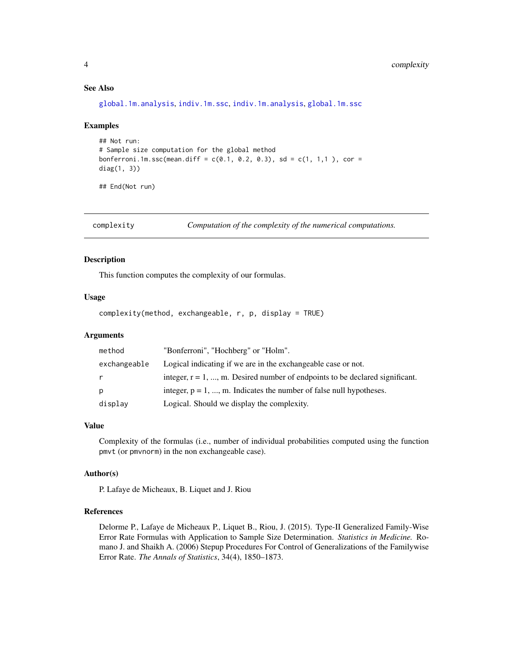## See Also

[global.1m.analysis](#page-6-1), [indiv.1m.ssc](#page-10-1), [indiv.1m.analysis](#page-8-1), [global.1m.ssc](#page-7-1)

## Examples

```
## Not run:
# Sample size computation for the global method
bonferroni.1m.ssc(mean.diff = c(0.1, 0.2, 0.3), sd = c(1, 1, 1), cor =
diag(1, 3))
```
## End(Not run)

complexity *Computation of the complexity of the numerical computations.*

#### Description

This function computes the complexity of our formulas.

#### Usage

```
complexity(method, exchangeable, r, p, display = TRUE)
```
## Arguments

| method       | "Bonferroni", "Hochberg" or "Holm".                                             |
|--------------|---------------------------------------------------------------------------------|
| exchangeable | Logical indicating if we are in the exchangeable case or not.                   |
| r.           | integer, $r = 1, , m$ . Desired number of endpoints to be declared significant. |
| p            | integer, $p = 1, , m$ . Indicates the number of false null hypotheses.          |
| display      | Logical. Should we display the complexity.                                      |

### Value

Complexity of the formulas (i.e., number of individual probabilities computed using the function pmvt (or pmvnorm) in the non exchangeable case).

## Author(s)

P. Lafaye de Micheaux, B. Liquet and J. Riou

## References

Delorme P., Lafaye de Micheaux P., Liquet B., Riou, J. (2015). Type-II Generalized Family-Wise Error Rate Formulas with Application to Sample Size Determination. *Statistics in Medicine.* Romano J. and Shaikh A. (2006) Stepup Procedures For Control of Generalizations of the Familywise Error Rate. *The Annals of Statistics*, 34(4), 1850–1873.

<span id="page-3-0"></span>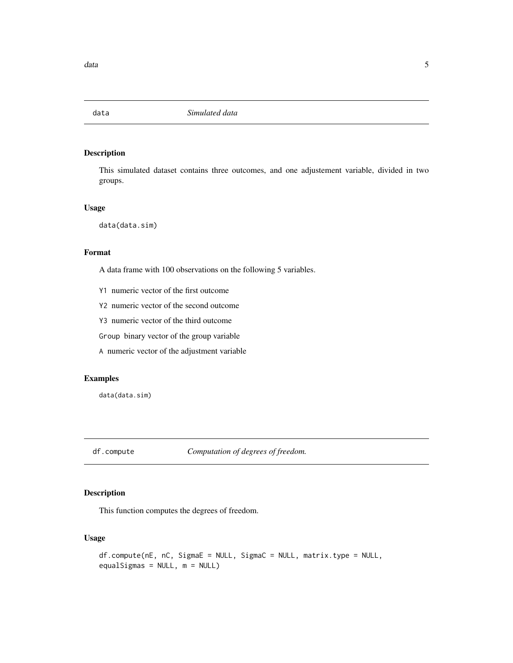<span id="page-4-0"></span>

## Description

This simulated dataset contains three outcomes, and one adjustement variable, divided in two groups.

## Usage

data(data.sim)

## Format

A data frame with 100 observations on the following 5 variables.

- Y1 numeric vector of the first outcome
- Y2 numeric vector of the second outcome
- Y3 numeric vector of the third outcome

Group binary vector of the group variable

A numeric vector of the adjustment variable

## Examples

data(data.sim)

df.compute *Computation of degrees of freedom.*

## Description

This function computes the degrees of freedom.

## Usage

```
df.compute(nE, nC, SigmaE = NULL, SigmaC = NULL, matrix.type = NULL,
equalSigmas = NULL, m = NULL)
```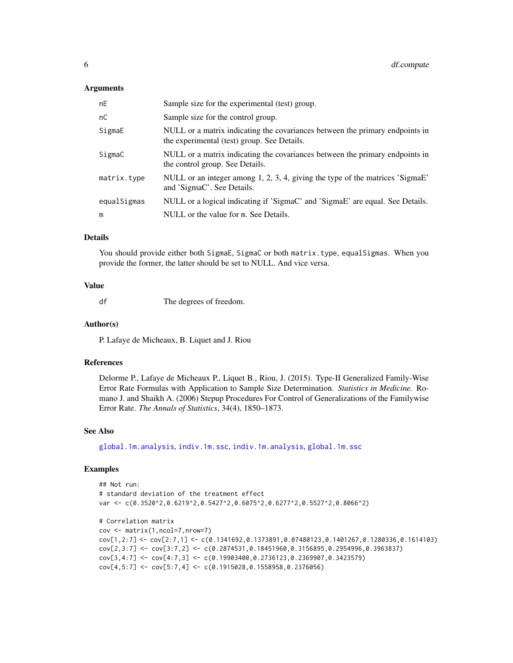## <span id="page-5-0"></span>Arguments

| nE          | Sample size for the experimental (test) group.                                                                              |
|-------------|-----------------------------------------------------------------------------------------------------------------------------|
| nC          | Sample size for the control group.                                                                                          |
| SigmaE      | NULL or a matrix indicating the covariances between the primary endpoints in<br>the experimental (test) group. See Details. |
| SigmaC      | NULL or a matrix indicating the covariances between the primary endpoints in<br>the control group. See Details.             |
| matrix.type | NULL or an integer among 1, 2, 3, 4, giving the type of the matrices 'SigmaE'<br>and 'SigmaC'. See Details.                 |
| equalSigmas | NULL or a logical indicating if 'SigmaC' and 'SigmaE' are equal. See Details.                                               |
| m           | NULL or the value for m. See Details.                                                                                       |

## **Details**

You should provide either both SigmaE, SigmaC or both matrix.type, equalSigmas. When you provide the former, the latter should be set to NULL. And vice versa.

## Value

df The degrees of freedom.

## Author(s)

P. Lafaye de Micheaux, B. Liquet and J. Riou

#### References

Delorme P., Lafaye de Micheaux P., Liquet B., Riou, J. (2015). Type-II Generalized Family-Wise Error Rate Formulas with Application to Sample Size Determination. *Statistics in Medicine.* Romano J. and Shaikh A. (2006) Stepup Procedures For Control of Generalizations of the Familywise Error Rate. *The Annals of Statistics*, 34(4), 1850–1873.

#### See Also

[global.1m.analysis](#page-6-1), [indiv.1m.ssc](#page-10-1), [indiv.1m.analysis](#page-8-1), [global.1m.ssc](#page-7-1)

## Examples

```
## Not run:
# standard deviation of the treatment effect
var <- c(0.3520^2,0.6219^2,0.5427^2,0.6075^2,0.6277^2,0.5527^2,0.8066^2)
# Correlation matrix
cov <- matrix(1,ncol=7,nrow=7)
cov[1,2:7] <- cov[2:7,1] <- c(0.1341692,0.1373891,0.07480123,0.1401267,0.1280336,0.1614103)
cov[2,3:7] <- cov[3:7,2] <- c(0.2874531,0.18451960,0.3156895,0.2954996,0.3963837)
cov[3,4:7] \leftarrow cov[4:7,3] \leftarrow c(0.19903400, 0.2736123, 0.2369907, 0.3423579)cov[4,5:7] \leftarrow cov[5:7,4] \leftarrow c(0.1915028,0.1558958,0.2376056)
```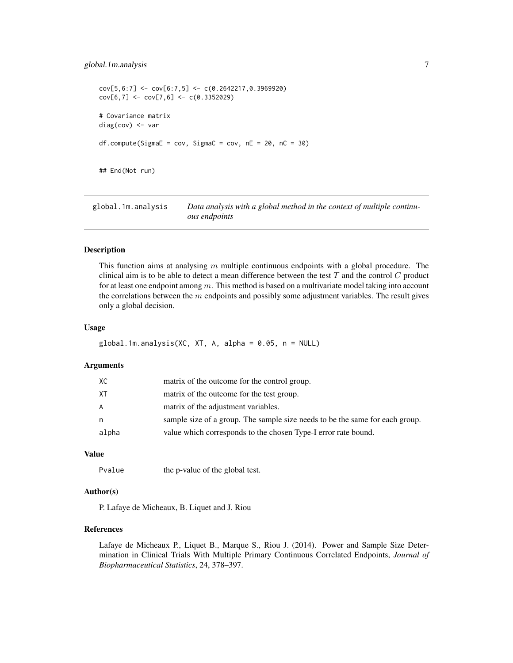## <span id="page-6-0"></span>global.1m.analysis 7

```
cov[5,6:7] <- cov[6:7,5] <- c(0.2642217,0.3969920)cov[6,7] \leftarrow cov[7,6] \leftarrow c(0.3352029)# Covariance matrix
diag(cov) <- var
df.compile(Sigma = cov, SigmaC = cov, nE = 20, nC = 30)## End(Not run)
```
<span id="page-6-1"></span>global.1m.analysis *Data analysis with a global method in the context of multiple continuous endpoints*

#### Description

This function aims at analysing  $m$  multiple continuous endpoints with a global procedure. The clinical aim is to be able to detect a mean difference between the test  $T$  and the control  $C$  product for at least one endpoint among  $m$ . This method is based on a multivariate model taking into account the correlations between the m endpoints and possibly some adjustment variables. The result gives only a global decision.

#### Usage

```
global.1m.analysis(XC, XT, A, alpha = 0.05, n = NULL)
```
#### **Arguments**

| XC    | matrix of the outcome for the control group.                                 |
|-------|------------------------------------------------------------------------------|
| XT    | matrix of the outcome for the test group.                                    |
| A     | matrix of the adjustment variables.                                          |
| n     | sample size of a group. The sample size needs to be the same for each group. |
| alpha | value which corresponds to the chosen Type-I error rate bound.               |
|       |                                                                              |

#### Value

Pvalue the p-value of the global test.

## Author(s)

P. Lafaye de Micheaux, B. Liquet and J. Riou

### References

Lafaye de Micheaux P., Liquet B., Marque S., Riou J. (2014). Power and Sample Size Determination in Clinical Trials With Multiple Primary Continuous Correlated Endpoints, *Journal of Biopharmaceutical Statistics*, 24, 378–397.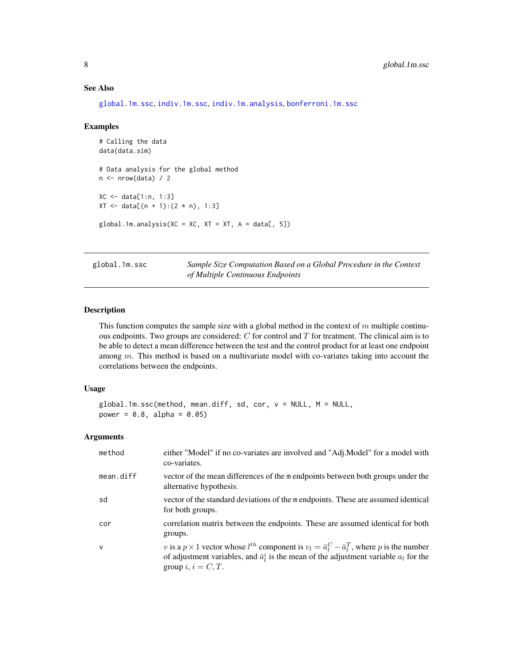## <span id="page-7-0"></span>See Also

[global.1m.ssc](#page-7-1), [indiv.1m.ssc](#page-10-1), [indiv.1m.analysis](#page-8-1), [bonferroni.1m.ssc](#page-2-1)

#### Examples

```
# Calling the data
data(data.sim)
# Data analysis for the global method
n \leftarrow \text{nrow(data)} / 2XC <- data[1:n, 1:3]
XT < - data[(n + 1):(2 * n), 1:3]
global.1m.analysis(XC = XC, XT = XT, A = data[, 5])
```
<span id="page-7-1"></span>global.1m.ssc *Sample Size Computation Based on a Global Procedure in the Context of Multiple Continuous Endpoints*

## Description

This function computes the sample size with a global method in the context of  $m$  multiple continuous endpoints. Two groups are considered:  $C$  for control and  $T$  for treatment. The clinical aim is to be able to detect a mean difference between the test and the control product for at least one endpoint among  $m$ . This method is based on a multivariate model with co-variates taking into account the correlations between the endpoints.

#### Usage

```
global.1m.ssc(method, mean.diff, sd, cor, v = NULL, M = NULL,
power = 0.8, alpha = 0.05)
```
## Arguments

| method    | either "Model" if no co-variates are involved and "Adj.Model" for a model with<br>co-variates.                                                                                                                                               |
|-----------|----------------------------------------------------------------------------------------------------------------------------------------------------------------------------------------------------------------------------------------------|
| mean.diff | vector of the mean differences of the m endpoints between both groups under the<br>alternative hypothesis.                                                                                                                                   |
| sd        | vector of the standard deviations of the m endpoints. These are assumed identical<br>for both groups.                                                                                                                                        |
| cor       | correlation matrix between the endpoints. These are assumed identical for both<br>groups.                                                                                                                                                    |
| $\vee$    | v is a $p \times 1$ vector whose $l^{th}$ component is $v_l = \bar{a}_l^C - \bar{a}_l^T$ , where p is the number<br>of adjustment variables, and $\bar{a}^i_i$ is the mean of the adjustment variable $a_l$ for the<br>group $i, i = C, T$ . |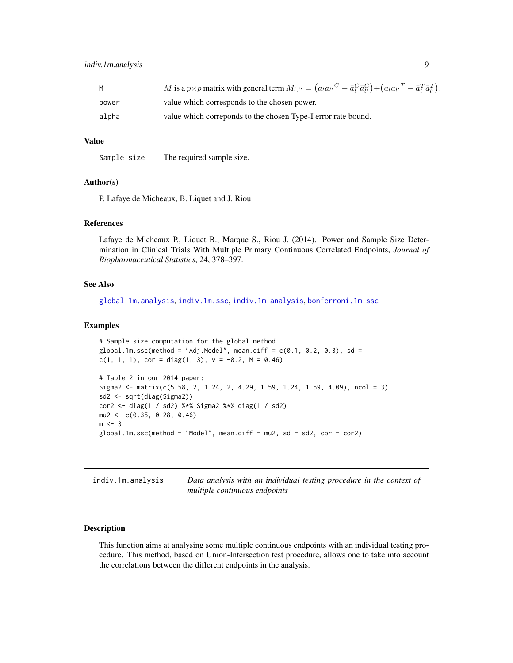<span id="page-8-0"></span>

| M     | M is a $p \times p$ matrix with general term $M_{l,l'} = (\overline{a_l a_{l'}}^C - \overline{a}_l^C \overline{a}_{l'}^C) + (\overline{a_l a_{l'}}^T - \overline{a}_l^T \overline{a}_{l'}^T)$ . |
|-------|-------------------------------------------------------------------------------------------------------------------------------------------------------------------------------------------------|
| power | value which corresponds to the chosen power.                                                                                                                                                    |
| alpha | value which corresponds to the chosen Type-I error rate bound.                                                                                                                                  |

#### Value

Sample size The required sample size.

## Author(s)

P. Lafaye de Micheaux, B. Liquet and J. Riou

## References

Lafaye de Micheaux P., Liquet B., Marque S., Riou J. (2014). Power and Sample Size Determination in Clinical Trials With Multiple Primary Continuous Correlated Endpoints, *Journal of Biopharmaceutical Statistics*, 24, 378–397.

## See Also

[global.1m.analysis](#page-6-1), [indiv.1m.ssc](#page-10-1), [indiv.1m.analysis](#page-8-1), [bonferroni.1m.ssc](#page-2-1)

#### Examples

```
# Sample size computation for the global method
global.1m.ssc(method = "Adj.Model", mean.diff = c(0.1, 0.2, 0.3), sd =
c(1, 1, 1), cor = diag(1, 3), v = -0.2, M = 0.46)
# Table 2 in our 2014 paper:
Sigma2 <- matrix(c(5.58, 2, 1.24, 2, 4.29, 1.59, 1.24, 1.59, 4.09), ncol = 3)
sd2 <- sqrt(diag(Sigma2))
cor2 <- diag(1 / sd2) %*% Sigma2 %*% diag(1 / sd2)
mu2 <- c(0.35, 0.28, 0.46)
m < -3global.1m.ssc(method = "Model", mean.diff = mu2, sd = sd2, cor = cor2)
```
<span id="page-8-1"></span>indiv.1m.analysis *Data analysis with an individual testing procedure in the context of multiple continuous endpoints*

## Description

This function aims at analysing some multiple continuous endpoints with an individual testing procedure. This method, based on Union-Intersection test procedure, allows one to take into account the correlations between the different endpoints in the analysis.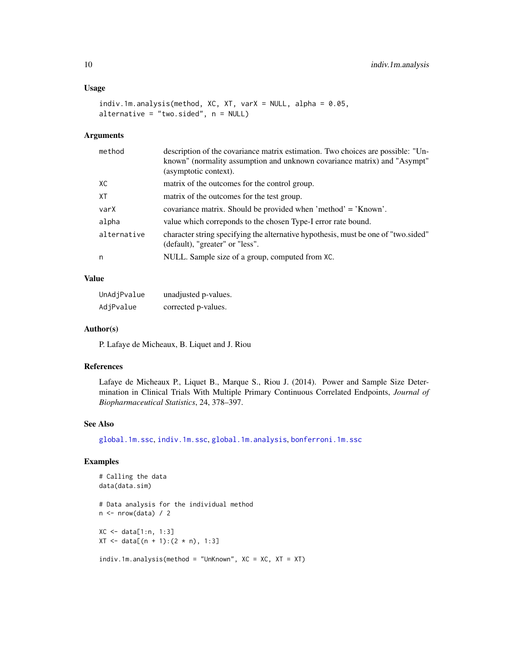## <span id="page-9-0"></span>Usage

```
indiv.1m.analysis(method, XC, XT, varX = NULL, alpha = 0.05,
alternative = "two.sided", n = NULL)
```
## Arguments

| method      | description of the covariance matrix estimation. Two choices are possible: "Un-<br>known" (normality assumption and unknown covariance matrix) and "Asympt" |
|-------------|-------------------------------------------------------------------------------------------------------------------------------------------------------------|
|             | (asymptotic context).                                                                                                                                       |
| XC          | matrix of the outcomes for the control group.                                                                                                               |
| XT          | matrix of the outcomes for the test group.                                                                                                                  |
| varX        | covariance matrix. Should be provided when 'method' = 'Known'.                                                                                              |
| alpha       | value which corresponds to the chosen Type-I error rate bound.                                                                                              |
| alternative | character string specifying the alternative hypothesis, must be one of "two sided"<br>(default), "greater" or "less".                                       |
| n           | NULL. Sample size of a group, computed from XC.                                                                                                             |
|             |                                                                                                                                                             |

## Value

| UnAdjPvalue | unadjusted p-values. |
|-------------|----------------------|
| AdjPvalue   | corrected p-values.  |

#### Author(s)

P. Lafaye de Micheaux, B. Liquet and J. Riou

## References

Lafaye de Micheaux P., Liquet B., Marque S., Riou J. (2014). Power and Sample Size Determination in Clinical Trials With Multiple Primary Continuous Correlated Endpoints, *Journal of Biopharmaceutical Statistics*, 24, 378–397.

## See Also

[global.1m.ssc](#page-7-1), [indiv.1m.ssc](#page-10-1), [global.1m.analysis](#page-6-1), [bonferroni.1m.ssc](#page-2-1)

## Examples

```
# Calling the data
data(data.sim)
# Data analysis for the individual method
n <- nrow(data) / 2
XC <- data[1:n, 1:3]
XT < - data[(n + 1):(2 * n), 1:3]
indiv.1m.analysis(method = "UnKnown", XC = XC, XT = XT)
```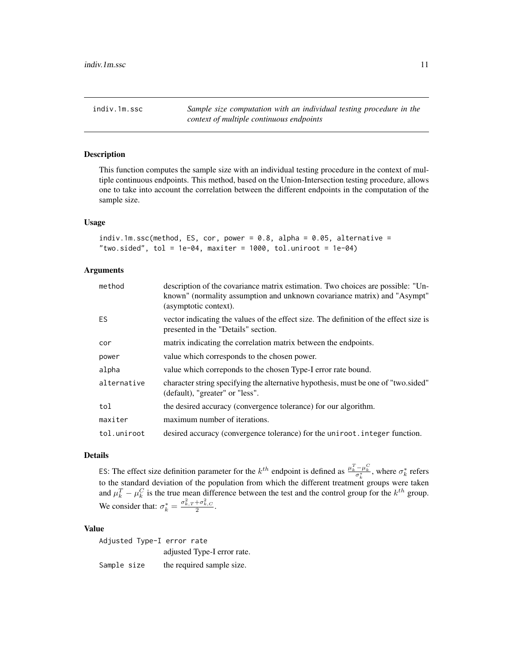<span id="page-10-1"></span><span id="page-10-0"></span>indiv.1m.ssc *Sample size computation with an individual testing procedure in the context of multiple continuous endpoints*

## Description

This function computes the sample size with an individual testing procedure in the context of multiple continuous endpoints. This method, based on the Union-Intersection testing procedure, allows one to take into account the correlation between the different endpoints in the computation of the sample size.

#### Usage

```
indiv.1m.ssc(method, ES, cor, power = 0.8, alpha = 0.05, alternative ="two.sided", tol = 1e-04, maxiter = 1000, tol.uniroot = 1e-04)
```
## Arguments

| method      | description of the covariance matrix estimation. Two choices are possible: "Un-<br>known" (normality assumption and unknown covariance matrix) and "Asympt"<br>(asymptotic context). |
|-------------|--------------------------------------------------------------------------------------------------------------------------------------------------------------------------------------|
| ES.         | vector indicating the values of the effect size. The definition of the effect size is<br>presented in the "Details" section.                                                         |
| cor         | matrix indicating the correlation matrix between the endpoints.                                                                                                                      |
| power       | value which corresponds to the chosen power.                                                                                                                                         |
| alpha       | value which corresponds to the chosen Type-I error rate bound.                                                                                                                       |
| alternative | character string specifying the alternative hypothesis, must be one of "two sided"<br>(default), "greater" or "less".                                                                |
| tol         | the desired accuracy (convergence tolerance) for our algorithm.                                                                                                                      |
| maxiter     | maximum number of iterations.                                                                                                                                                        |
| tol.uniroot | desired accuracy (convergence tolerance) for the uniroot. integer function.                                                                                                          |

## Details

ES: The effect size definition parameter for the  $k^{th}$  endpoint is defined as  $\frac{\mu_k^T - \mu_k^C}{\sigma_k^*}$ , where  $\sigma_k^*$  refers to the standard deviation of the population from which the different treatment groups were taken and  $\mu_k^T - \mu_k^C$  is the true mean difference between the test and the control group for the  $k^{th}$  group. We consider that:  $\sigma_k^* = \frac{\sigma_{k,T}^2 + \sigma_{k,C}^2}{2}$ .

#### Value

Adjusted Type-I error rate adjusted Type-I error rate. Sample size the required sample size.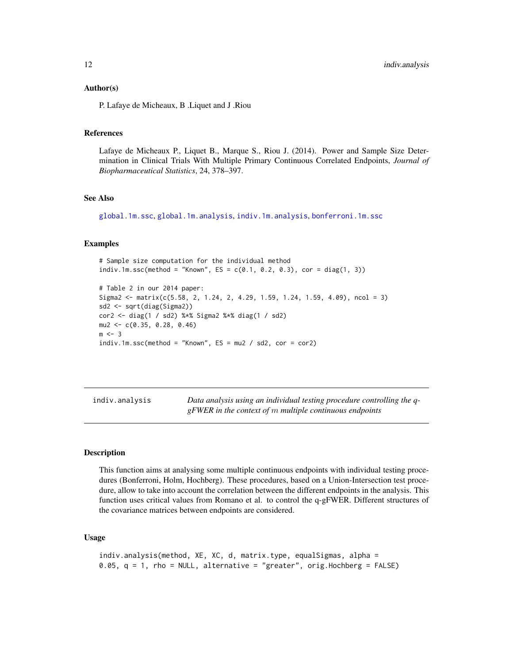## <span id="page-11-0"></span>Author(s)

P. Lafaye de Micheaux, B .Liquet and J .Riou

## References

Lafaye de Micheaux P., Liquet B., Marque S., Riou J. (2014). Power and Sample Size Determination in Clinical Trials With Multiple Primary Continuous Correlated Endpoints, *Journal of Biopharmaceutical Statistics*, 24, 378–397.

## See Also

[global.1m.ssc](#page-7-1), [global.1m.analysis](#page-6-1), [indiv.1m.analysis](#page-8-1), [bonferroni.1m.ssc](#page-2-1)

#### Examples

```
# Sample size computation for the individual method
indiv.1m.ssc(method = "Known", ES = c(0.1, 0.2, 0.3), cor = diag(1, 3))
```

```
# Table 2 in our 2014 paper:
Sigma2 <- matrix(c(5.58, 2, 1.24, 2, 4.29, 1.59, 1.24, 1.59, 4.09), ncol = 3)
sd2 <- sqrt(diag(Sigma2))
cor2 <- diag(1 / sd2) %*% Sigma2 %*% diag(1 / sd2)
mu2 <- c(0.35, 0.28, 0.46)
m < -3indiv.1m.ssc(method = "Known", ES = mu2 / sd2, cor = cor2)
```
<span id="page-11-1"></span>indiv.analysis *Data analysis using an individual testing procedure controlling the qgFWER in the context of* m *multiple continuous endpoints*

#### **Description**

This function aims at analysing some multiple continuous endpoints with individual testing procedures (Bonferroni, Holm, Hochberg). These procedures, based on a Union-Intersection test procedure, allow to take into account the correlation between the different endpoints in the analysis. This function uses critical values from Romano et al. to control the q-gFWER. Different structures of the covariance matrices between endpoints are considered.

## Usage

```
indiv.analysis(method, XE, XC, d, matrix.type, equalSigmas, alpha =
0.05, q = 1, rho = NULL, alternative = "greater", orig.Hochberg = FALSE)
```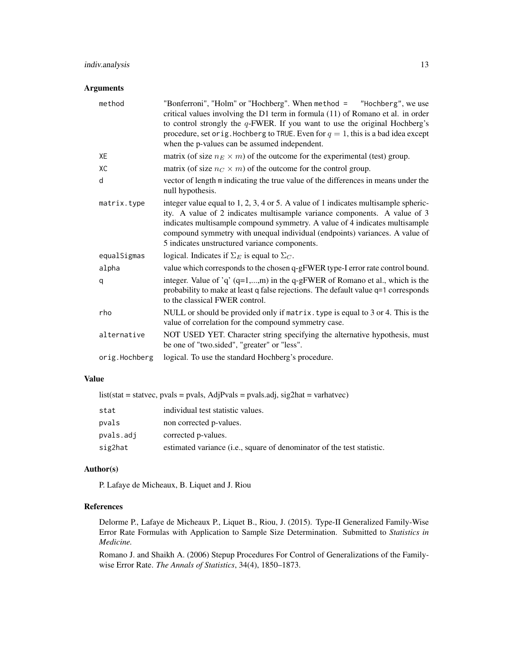## indiv.analysis 13

## Arguments

| method        | "Bonferroni", "Holm" or "Hochberg". When method = "Hochberg", we use<br>critical values involving the D1 term in formula (11) of Romano et al. in order<br>to control strongly the $q$ -FWER. If you want to use the original Hochberg's<br>procedure, set orig. Hochberg to TRUE. Even for $q = 1$ , this is a bad idea except<br>when the p-values can be assumed independent.  |
|---------------|-----------------------------------------------------------------------------------------------------------------------------------------------------------------------------------------------------------------------------------------------------------------------------------------------------------------------------------------------------------------------------------|
| XE            | matrix (of size $n_E \times m$ ) of the outcome for the experimental (test) group.                                                                                                                                                                                                                                                                                                |
| XC            | matrix (of size $n_C \times m$ ) of the outcome for the control group.                                                                                                                                                                                                                                                                                                            |
| d             | vector of length m indicating the true value of the differences in means under the<br>null hypothesis.                                                                                                                                                                                                                                                                            |
| matrix.type   | integer value equal to $1, 2, 3, 4$ or 5. A value of 1 indicates multisample spheric-<br>ity. A value of 2 indicates multisample variance components. A value of 3<br>indicates multisample compound symmetry. A value of 4 indicates multisample<br>compound symmetry with unequal individual (endpoints) variances. A value of<br>5 indicates unstructured variance components. |
| equalSigmas   | logical. Indicates if $\Sigma_E$ is equal to $\Sigma_C$ .                                                                                                                                                                                                                                                                                                                         |
| alpha         | value which corresponds to the chosen q-gFWER type-I error rate control bound.                                                                                                                                                                                                                                                                                                    |
| q             | integer. Value of 'q' $(q=1,,m)$ in the q-gFWER of Romano et al., which is the<br>probability to make at least q false rejections. The default value q=1 corresponds<br>to the classical FWER control.                                                                                                                                                                            |
| rho           | NULL or should be provided only if matrix. type is equal to 3 or 4. This is the<br>value of correlation for the compound symmetry case.                                                                                                                                                                                                                                           |
| alternative   | NOT USED YET. Character string specifying the alternative hypothesis, must<br>be one of "two.sided", "greater" or "less".                                                                                                                                                                                                                                                         |
| orig.Hochberg | logical. To use the standard Hochberg's procedure.                                                                                                                                                                                                                                                                                                                                |

## Value

list(stat = statvec, pvals = pvals, AdjPvals = pvals.adj, sig2hat = varhatvec)

| stat      | individual test statistic values.                                               |
|-----------|---------------------------------------------------------------------------------|
| pvals     | non corrected p-values.                                                         |
| pvals.adj | corrected p-values.                                                             |
| sig2hat   | estimated variance ( <i>i.e.</i> , square of denominator of the test statistic. |

## Author(s)

P. Lafaye de Micheaux, B. Liquet and J. Riou

## References

Delorme P., Lafaye de Micheaux P., Liquet B., Riou, J. (2015). Type-II Generalized Family-Wise Error Rate Formulas with Application to Sample Size Determination. Submitted to *Statistics in Medicine.*

Romano J. and Shaikh A. (2006) Stepup Procedures For Control of Generalizations of the Familywise Error Rate. *The Annals of Statistics*, 34(4), 1850–1873.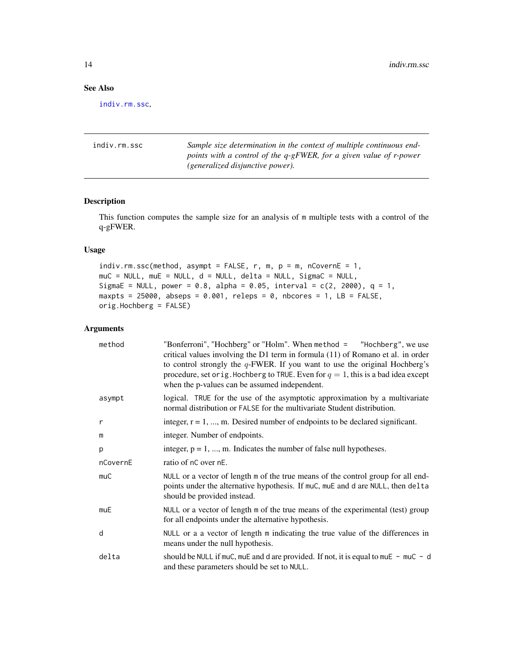## <span id="page-13-0"></span>See Also

[indiv.rm.ssc](#page-13-1),

<span id="page-13-1"></span>

| indiv.rm.ssc | Sample size determination in the context of multiple continuous end- |
|--------------|----------------------------------------------------------------------|
|              | points with a control of the q-gFWER, for a given value of r-power   |
|              | <i>(generalized disjunctive power).</i>                              |

## Description

This function computes the sample size for an analysis of m multiple tests with a control of the q-gFWER.

## Usage

indiv.rm.ssc(method, asympt = FALSE, r, m,  $p = m$ , nCovernE = 1, muC = NULL, muE = NULL, d = NULL, delta = NULL, SigmaC = NULL, SigmaE = NULL, power = 0.8, alpha = 0.05, interval =  $c(2, 2000)$ , q = 1, maxpts =  $25000$ , abseps =  $0.001$ , releps =  $0$ , nbcores = 1, LB = FALSE, orig.Hochberg = FALSE)

## Arguments

| method   | "Bonferroni", "Hochberg" or "Holm". When method = "Hochberg", we use<br>critical values involving the D1 term in formula $(11)$ of Romano et al. in order<br>to control strongly the $q$ -FWER. If you want to use the original Hochberg's<br>procedure, set orig. Hochberg to TRUE. Even for $q = 1$ , this is a bad idea except<br>when the p-values can be assumed independent. |
|----------|------------------------------------------------------------------------------------------------------------------------------------------------------------------------------------------------------------------------------------------------------------------------------------------------------------------------------------------------------------------------------------|
| asympt   | logical. TRUE for the use of the asymptotic approximation by a multivariate<br>normal distribution or FALSE for the multivariate Student distribution.                                                                                                                                                                                                                             |
| r        | integer, $r = 1, , m$ . Desired number of endpoints to be declared significant.                                                                                                                                                                                                                                                                                                    |
| m        | integer. Number of endpoints.                                                                                                                                                                                                                                                                                                                                                      |
| p        | integer, $p = 1, , m$ . Indicates the number of false null hypotheses.                                                                                                                                                                                                                                                                                                             |
| nCovernE | ratio of nC over nE.                                                                                                                                                                                                                                                                                                                                                               |
| muC      | NULL or a vector of length m of the true means of the control group for all end-<br>points under the alternative hypothesis. If muC, muE and d are NULL, then delta<br>should be provided instead.                                                                                                                                                                                 |
| muE      | NULL or a vector of length m of the true means of the experimental (test) group<br>for all endpoints under the alternative hypothesis.                                                                                                                                                                                                                                             |
| d        | NULL or a a vector of length m indicating the true value of the differences in<br>means under the null hypothesis.                                                                                                                                                                                                                                                                 |
| delta    | should be NULL if muC, muE and d are provided. If not, it is equal to muE - muC - d<br>and these parameters should be set to NULL.                                                                                                                                                                                                                                                 |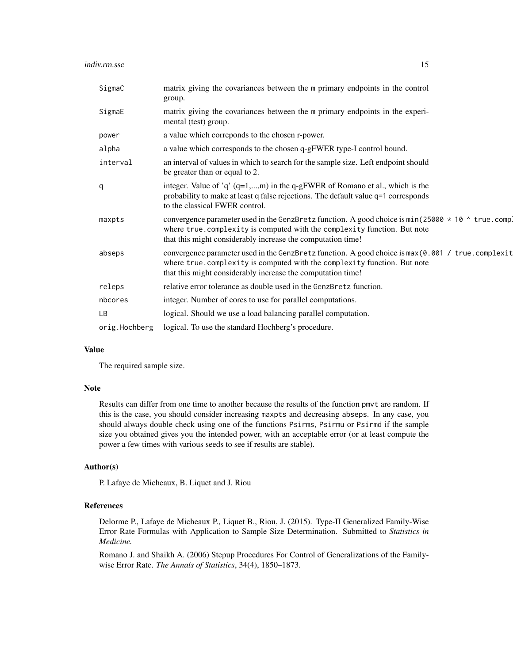| SigmaC        | matrix giving the covariances between the m primary endpoints in the control<br>group.                                                                                                                                                               |
|---------------|------------------------------------------------------------------------------------------------------------------------------------------------------------------------------------------------------------------------------------------------------|
| SigmaE        | matrix giving the covariances between the m primary endpoints in the experi-<br>mental (test) group.                                                                                                                                                 |
| power         | a value which correponds to the chosen r-power.                                                                                                                                                                                                      |
| alpha         | a value which corresponds to the chosen q-gFWER type-I control bound.                                                                                                                                                                                |
| interval      | an interval of values in which to search for the sample size. Left endpoint should<br>be greater than or equal to 2.                                                                                                                                 |
| q             | integer. Value of 'q' $(q=1,,m)$ in the q-gFWER of Romano et al., which is the<br>probability to make at least q false rejections. The default value q=1 corresponds<br>to the classical FWER control.                                               |
| maxpts        | convergence parameter used in the GenzBretz function. A good choice is $min(25000 * 10 \land true$ .comp.<br>where true.complexity is computed with the complexity function. But note<br>that this might considerably increase the computation time! |
| abseps        | convergence parameter used in the GenzBretz function. A good choice is max (0.001 / true.complexit<br>where true.complexity is computed with the complexity function. But note<br>that this might considerably increase the computation time!        |
| releps        | relative error tolerance as double used in the GenzBretz function.                                                                                                                                                                                   |
| nbcores       | integer. Number of cores to use for parallel computations.                                                                                                                                                                                           |
| <b>LB</b>     | logical. Should we use a load balancing parallel computation.                                                                                                                                                                                        |
| orig.Hochberg | logical. To use the standard Hochberg's procedure.                                                                                                                                                                                                   |

## Value

The required sample size.

#### Note

Results can differ from one time to another because the results of the function pmvt are random. If this is the case, you should consider increasing maxpts and decreasing abseps. In any case, you should always double check using one of the functions Psirms, Psirmu or Psirmd if the sample size you obtained gives you the intended power, with an acceptable error (or at least compute the power a few times with various seeds to see if results are stable).

## Author(s)

P. Lafaye de Micheaux, B. Liquet and J. Riou

#### References

Delorme P., Lafaye de Micheaux P., Liquet B., Riou, J. (2015). Type-II Generalized Family-Wise Error Rate Formulas with Application to Sample Size Determination. Submitted to *Statistics in Medicine.*

Romano J. and Shaikh A. (2006) Stepup Procedures For Control of Generalizations of the Familywise Error Rate. *The Annals of Statistics*, 34(4), 1850–1873.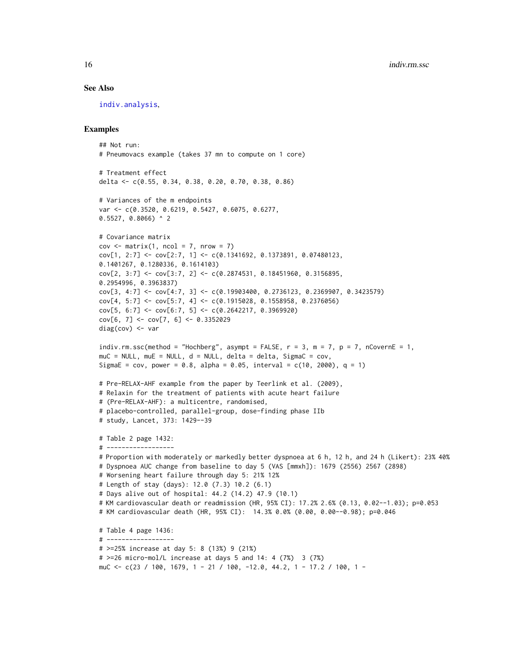#### See Also

[indiv.analysis](#page-11-1),

## Examples

```
## Not run:
# Pneumovacs example (takes 37 mn to compute on 1 core)
# Treatment effect
delta <- c(0.55, 0.34, 0.38, 0.20, 0.70, 0.38, 0.86)
# Variances of the m endpoints
var <- c(0.3520, 0.6219, 0.5427, 0.6075, 0.6277,
0.5527, 0.8066) ^ 2
# Covariance matrix
cov \leq matrix(1, ncol = 7, nrow = 7)
cov[1, 2:7] \leftarrow cov[2:7, 1] \leftarrow c(0.1341692, 0.1373891, 0.07480123,0.1401267, 0.1280336, 0.1614103)
cov[2, 3:7] <- cov[3:7, 2] <- c(0.2874531, 0.18451960, 0.3156895,
0.2954996, 0.3963837)
cov[3, 4:7] <- cov[4:7, 3] <- c(0.19903400, 0.2736123, 0.2369907, 0.3423579)
cov[4, 5:7] <- cov[5:7, 4] <- c(0.1915028, 0.1558958, 0.2376056)
cov[5, 6:7] \leftarrow cov[6:7, 5] \leftarrow c(0.2642217, 0.3969920)cov[6, 7] <- cov[7, 6] <- 0.3352029
diag(cov) <- var
indiv.rm.ssc(method = "Hochberg", asympt = FALSE, r = 3, m = 7, p = 7, nCovernE = 1,
muC = NULL, muE = NULL, d = NULL, delta = delta, SigmaC = cov,
SigmaE = cov, power = 0.8, alpha = 0.05, interval = c(10, 2000), q = 1)
# Pre-RELAX-AHF example from the paper by Teerlink et al. (2009),
# Relaxin for the treatment of patients with acute heart failure
# (Pre-RELAX-AHF): a multicentre, randomised,
# placebo-controlled, parallel-group, dose-finding phase IIb
# study, Lancet, 373: 1429--39
# Table 2 page 1432:
# ------------------
# Proportion with moderately or markedly better dyspnoea at 6 h, 12 h, and 24 h (Likert): 23% 40%
# Dyspnoea AUC change from baseline to day 5 (VAS [mmxh]): 1679 (2556) 2567 (2898)
# Worsening heart failure through day 5: 21% 12%
# Length of stay (days): 12.0 (7.3) 10.2 (6.1)
# Days alive out of hospital: 44.2 (14.2) 47.9 (10.1)
# KM cardiovascular death or readmission (HR, 95% CI): 17.2% 2.6% (0.13, 0.02--1.03); p=0.053
# KM cardiovascular death (HR, 95% CI): 14.3% 0.0% (0.00, 0.00--0.98); p=0.046
# Table 4 page 1436:
# ------------------
# >=25% increase at day 5: 8 (13%) 9 (21%)
# >=26 micro-mol/L increase at days 5 and 14: 4 (7%) 3 (7%)
muC <- c(23 / 100, 1679, 1 - 21 / 100, -12.0, 44.2, 1 - 17.2 / 100, 1 -
```
<span id="page-15-0"></span>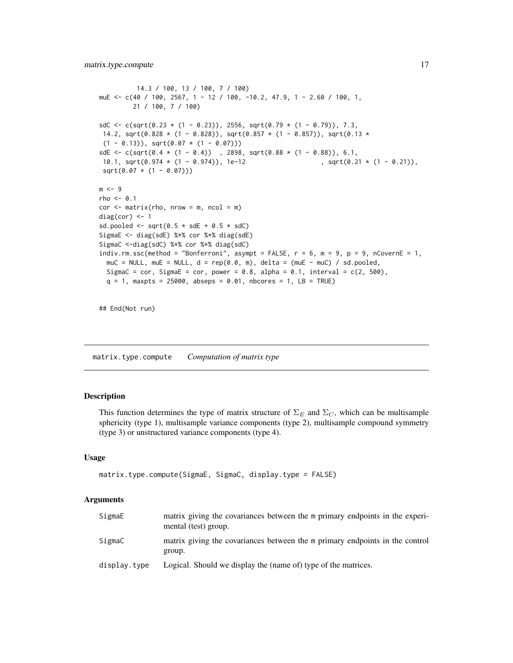```
14.3 / 100, 13 / 100, 7 / 100)
muE <- c(40 / 100, 2567, 1 - 12 / 100, -10.2, 47.9, 1 - 2.60 / 100, 1,
         21 / 100, 7 / 100)
sdC <- c(sqrt(0.23 * (1 - 0.23)), 2556, sqrt(0.79 * (1 - 0.79)), 7.3,
14.2, sqrt(0.828 \star (1 - 0.828)), sqrt(0.857 \star (1 - 0.857)), sqrt(0.13 \star(1 - 0.13), sqrt(0.07 * (1 - 0.07)))sdE <- c(sqrt(0.4 * (1 - 0.4)) , 2898, sqrt(0.88 * (1 - 0.88)), 6.1,<br>10.1, sqrt(0.974 * (1 - 0.974)), 1e-12 , sqrt(0.21 * (1 - 0.21)),
10.1, sqrt(0.974 \times (1 - 0.974)), 1e-12
 sqrt(0.07 * (1 - 0.07)))m < -9rho < -0.1cor < - matrix(rho, nrow = m, ncol = m)
diag(cor) <-1sd.pooled \le sqrt(0.5 \star sdE + 0.5 \star sdC)
SigmaE <- diag(sdE) %*% cor %*% diag(sdE)
SigmaC <-diag(sdC) %*% cor %*% diag(sdC)
indiv.rm.ssc(method = "Bonferroni", asympt = FALSE, r = 6, m = 9, p = 9, nCovernE = 1,
  muC = NULL, muE = NULL, d = rep(0.0, m), delta = (muE - muC) / sd.pooled,
  SigmaC = cor, SigmaE = cor, power = 0.8, alpha = 0.1, interval = c(2, 500),
  q = 1, maxpts = 25000, abseps = 0.01, nbcores = 1, LB = TRUE)
## End(Not run)
```
matrix.type.compute *Computation of matrix type*

## Description

This function determines the type of matrix structure of  $\Sigma_E$  and  $\Sigma_C$ , which can be multisample sphericity (type 1), multisample variance components (type 2), multisample compound symmetry (type 3) or unstructured variance components (type 4).

#### Usage

```
matrix.type.compute(SigmaE, SigmaC, display.type = FALSE)
```
## Arguments

| SigmaE       | matrix giving the covariances between the m primary endpoints in the experi-<br>mental (test) group. |
|--------------|------------------------------------------------------------------------------------------------------|
| SigmaC       | matrix giving the covariances between the m primary endpoints in the control<br>group.               |
| display.type | Logical. Should we display the (name of) type of the matrices.                                       |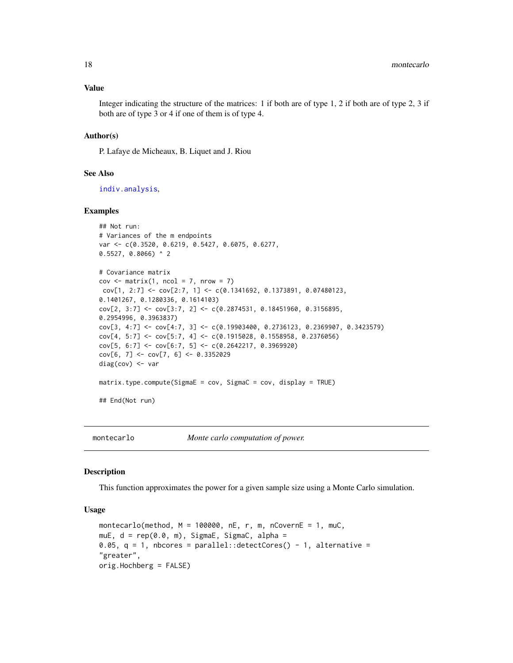#### Value

Integer indicating the structure of the matrices: 1 if both are of type 1, 2 if both are of type 2, 3 if both are of type 3 or 4 if one of them is of type 4.

## Author(s)

P. Lafaye de Micheaux, B. Liquet and J. Riou

#### See Also

[indiv.analysis](#page-11-1),

## Examples

```
## Not run:
# Variances of the m endpoints
var <- c(0.3520, 0.6219, 0.5427, 0.6075, 0.6277,
0.5527, 0.8066) ^ 2
# Covariance matrix
cov \leq -\text{matrix}(1, \text{ncol} = 7, \text{nrow} = 7)cov[1, 2:7] <- cov[2:7, 1] <- c(0.1341692, 0.1373891, 0.07480123,
0.1401267, 0.1280336, 0.1614103)
cov[2, 3:7] <- cov[3:7, 2] <- c(0.2874531, 0.18451960, 0.3156895,
0.2954996, 0.3963837)
cov[3, 4:7] <- cov[4:7, 3] <- c(0.19903400, 0.2736123, 0.2369907, 0.3423579)
cov[4, 5:7] <- cov[5:7, 4] <- c(0.1915028, 0.1558958, 0.2376056)
cov[5, 6:7] \leftarrow cov[6:7, 5] \leftarrow c(0.2642217, 0.3969920)cov[6, 7] < -cov[7, 6] < -0.3352029diag(cov) <- var
matrix.type.compute(SigmaE = cov, SigmaC = cov, display = TRUE)
## End(Not run)
```
<span id="page-17-1"></span>

montecarlo *Monte carlo computation of power.*

#### Description

This function approximates the power for a given sample size using a Monte Carlo simulation.

## Usage

```
montecarlo(method, M = 100000, nE, r, m, nCovernE = 1, muC,
muE, d = rep(0.0, m), SigmaE, SigmaC, alpha =
0.05, q = 1, nbcores = parallel::detectCores() - 1, alternative =
"greater",
orig.Hochberg = FALSE)
```
<span id="page-17-0"></span>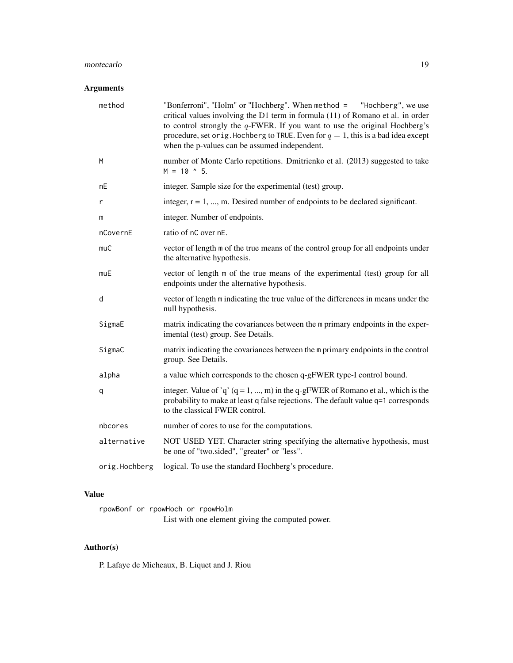## montecarlo 19

## Arguments

| method        | "Bonferroni", "Holm" or "Hochberg". When method = "Hochberg", we use<br>critical values involving the D1 term in formula (11) of Romano et al. in order<br>to control strongly the $q$ -FWER. If you want to use the original Hochberg's<br>procedure, set or ig. Hochberg to TRUE. Even for $q = 1$ , this is a bad idea except<br>when the p-values can be assumed independent. |
|---------------|-----------------------------------------------------------------------------------------------------------------------------------------------------------------------------------------------------------------------------------------------------------------------------------------------------------------------------------------------------------------------------------|
| M             | number of Monte Carlo repetitions. Dmitrienko et al. (2013) suggested to take<br>$M = 10$ $\land$ 5.                                                                                                                                                                                                                                                                              |
| nE            | integer. Sample size for the experimental (test) group.                                                                                                                                                                                                                                                                                                                           |
| r             | integer, $r = 1, , m$ . Desired number of endpoints to be declared significant.                                                                                                                                                                                                                                                                                                   |
| m             | integer. Number of endpoints.                                                                                                                                                                                                                                                                                                                                                     |
| nCovernE      | ratio of nC over nE.                                                                                                                                                                                                                                                                                                                                                              |
| muC           | vector of length m of the true means of the control group for all endpoints under<br>the alternative hypothesis.                                                                                                                                                                                                                                                                  |
| muE           | vector of length m of the true means of the experimental (test) group for all<br>endpoints under the alternative hypothesis.                                                                                                                                                                                                                                                      |
| d             | vector of length m indicating the true value of the differences in means under the<br>null hypothesis.                                                                                                                                                                                                                                                                            |
| SigmaE        | matrix indicating the covariances between the m primary endpoints in the exper-<br>imental (test) group. See Details.                                                                                                                                                                                                                                                             |
| SigmaC        | matrix indicating the covariances between the m primary endpoints in the control<br>group. See Details.                                                                                                                                                                                                                                                                           |
| alpha         | a value which corresponds to the chosen q-gFWER type-I control bound.                                                                                                                                                                                                                                                                                                             |
| q             | integer. Value of 'q' $(q = 1, , m)$ in the q-gFWER of Romano et al., which is the<br>probability to make at least q false rejections. The default value q=1 corresponds<br>to the classical FWER control.                                                                                                                                                                        |
| nbcores       | number of cores to use for the computations.                                                                                                                                                                                                                                                                                                                                      |
| alternative   | NOT USED YET. Character string specifying the alternative hypothesis, must<br>be one of "two.sided", "greater" or "less".                                                                                                                                                                                                                                                         |
| orig.Hochberg | logical. To use the standard Hochberg's procedure.                                                                                                                                                                                                                                                                                                                                |

## Value

rpowBonf or rpowHoch or rpowHolm List with one element giving the computed power.

## Author(s)

P. Lafaye de Micheaux, B. Liquet and J. Riou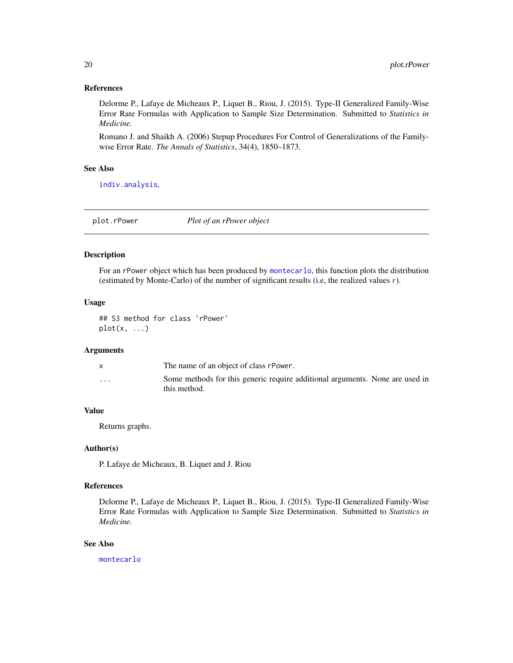#### <span id="page-19-0"></span>References

Delorme P., Lafaye de Micheaux P., Liquet B., Riou, J. (2015). Type-II Generalized Family-Wise Error Rate Formulas with Application to Sample Size Determination. Submitted to *Statistics in Medicine.*

Romano J. and Shaikh A. (2006) Stepup Procedures For Control of Generalizations of the Familywise Error Rate. *The Annals of Statistics*, 34(4), 1850–1873.

## See Also

[indiv.analysis](#page-11-1),

plot.rPower *Plot of an rPower object*

## Description

For an rPower object which has been produced by [montecarlo](#page-17-1), this function plots the distribution (estimated by Monte-Carlo) of the number of significant results (i.e, the realized values  $r$ ).

## Usage

## S3 method for class 'rPower'  $plot(x, \ldots)$ 

## Arguments

|                         | The name of an object of class rPower.                                                       |
|-------------------------|----------------------------------------------------------------------------------------------|
| $\cdot$ $\cdot$ $\cdot$ | Some methods for this generic require additional arguments. None are used in<br>this method. |

#### Value

Returns graphs.

#### Author(s)

P. Lafaye de Micheaux, B. Liquet and J. Riou

#### References

Delorme P., Lafaye de Micheaux P., Liquet B., Riou, J. (2015). Type-II Generalized Family-Wise Error Rate Formulas with Application to Sample Size Determination. Submitted to *Statistics in Medicine.*

## See Also

[montecarlo](#page-17-1)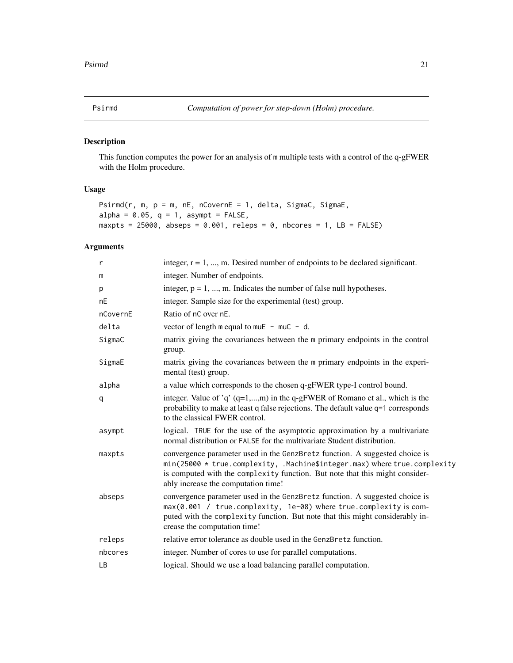<span id="page-20-0"></span>

## Description

This function computes the power for an analysis of m multiple tests with a control of the q-gFWER with the Holm procedure.

## Usage

```
Psirmd(r, m, p = m, nE, nCovernE = 1, delta, SigmaC, SigmaE,
alpha = 0.05, q = 1, asympt = FALSE,
maxpts = 25000, abseps = 0.001, releps = 0, nbcores = 1, LB = FALSE)
```
## Arguments

| $\mathsf{r}$ | integer, $r = 1, \dots, m$ . Desired number of endpoints to be declared significant.                                                                                                                                                                                            |
|--------------|---------------------------------------------------------------------------------------------------------------------------------------------------------------------------------------------------------------------------------------------------------------------------------|
| m            | integer. Number of endpoints.                                                                                                                                                                                                                                                   |
| p            | integer, $p = 1, , m$ . Indicates the number of false null hypotheses.                                                                                                                                                                                                          |
| nE           | integer. Sample size for the experimental (test) group.                                                                                                                                                                                                                         |
| nCovernE     | Ratio of nC over nE.                                                                                                                                                                                                                                                            |
| delta        | vector of length $m$ equal to $m \times 1 - m \times 1 - d$ .                                                                                                                                                                                                                   |
| SigmaC       | matrix giving the covariances between the m primary endpoints in the control<br>group.                                                                                                                                                                                          |
| SigmaE       | matrix giving the covariances between the m primary endpoints in the experi-<br>mental (test) group.                                                                                                                                                                            |
| alpha        | a value which corresponds to the chosen q-gFWER type-I control bound.                                                                                                                                                                                                           |
| q            | integer. Value of 'q' $(q=1,,m)$ in the q-gFWER of Romano et al., which is the<br>probability to make at least q false rejections. The default value q=1 corresponds<br>to the classical FWER control.                                                                          |
| asympt       | logical. TRUE for the use of the asymptotic approximation by a multivariate<br>normal distribution or FALSE for the multivariate Student distribution.                                                                                                                          |
| maxpts       | convergence parameter used in the GenzBretz function. A suggested choice is<br>min(25000 * true.complexity, .Machine\$integer.max) where true.complexity<br>is computed with the complexity function. But note that this might consider-<br>ably increase the computation time! |
| abseps       | convergence parameter used in the GenzBretz function. A suggested choice is<br>max(0.001 / true.complexity, 1e-08) where true.complexity is com-<br>puted with the complexity function. But note that this might considerably in-<br>crease the computation time!               |
| releps       | relative error tolerance as double used in the GenzBretz function.                                                                                                                                                                                                              |
| nbcores      | integer. Number of cores to use for parallel computations.                                                                                                                                                                                                                      |
| <b>LB</b>    | logical. Should we use a load balancing parallel computation.                                                                                                                                                                                                                   |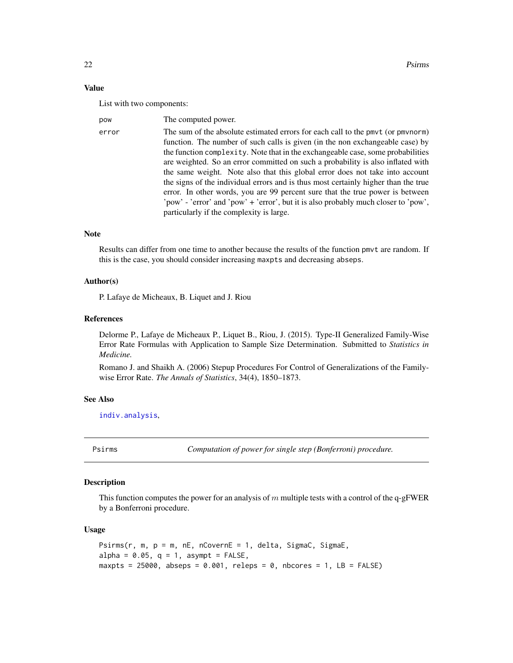22 **Psirms Psirms Psirms** 

## Value

List with two components:

| pow   | The computed power.                                                                |
|-------|------------------------------------------------------------------------------------|
| error | The sum of the absolute estimated errors for each call to the pmvt (or pmvnorm)    |
|       | function. The number of such calls is given (in the non exchangeable case) by      |
|       | the function complexity. Note that in the exchangeable case, some probabilities    |
|       | are weighted. So an error committed on such a probability is also inflated with    |
|       | the same weight. Note also that this global error does not take into account       |
|       | the signs of the individual errors and is thus most certainly higher than the true |
|       | error. In other words, you are 99 percent sure that the true power is between      |
|       | 'pow' - 'error' and 'pow' + 'error', but it is also probably much closer to 'pow', |
|       | particularly if the complexity is large.                                           |

## Note

Results can differ from one time to another because the results of the function pmvt are random. If this is the case, you should consider increasing maxpts and decreasing abseps.

## Author(s)

P. Lafaye de Micheaux, B. Liquet and J. Riou

## References

Delorme P., Lafaye de Micheaux P., Liquet B., Riou, J. (2015). Type-II Generalized Family-Wise Error Rate Formulas with Application to Sample Size Determination. Submitted to *Statistics in Medicine.*

Romano J. and Shaikh A. (2006) Stepup Procedures For Control of Generalizations of the Familywise Error Rate. *The Annals of Statistics*, 34(4), 1850–1873.

#### See Also

[indiv.analysis](#page-11-1),

Psirms *Computation of power for single step (Bonferroni) procedure.*

## Description

This function computes the power for an analysis of m multiple tests with a control of the q-gFWER by a Bonferroni procedure.

### Usage

```
P\text{sirms}(r, m, p = m, nE, nCovernE = 1, delta, SigmaC, SigmaE,alpha = 0.05, q = 1, asympt = FALSE,
maxpts = 25000, abseps = 0.001, releps = 0, nbcores = 1, LB = FALSE)
```
<span id="page-21-0"></span>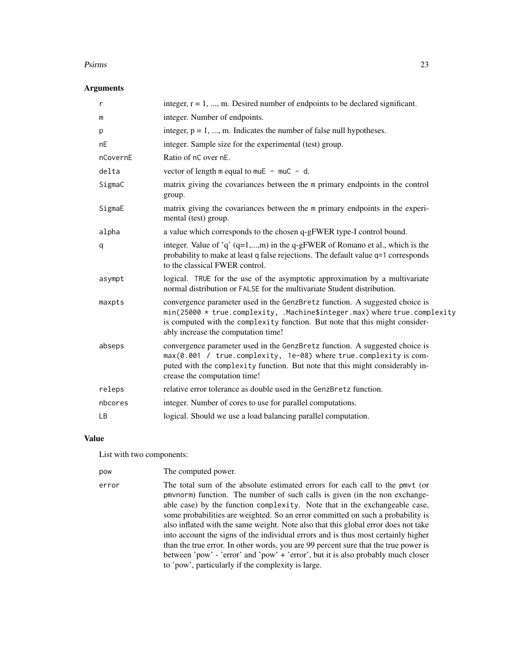#### Psirms 23

## Arguments

| $\mathsf{r}$ | integer, $r = 1, , m$ . Desired number of endpoints to be declared significant.                                                                                                                                                                                                 |
|--------------|---------------------------------------------------------------------------------------------------------------------------------------------------------------------------------------------------------------------------------------------------------------------------------|
| m            | integer. Number of endpoints.                                                                                                                                                                                                                                                   |
| p            | integer, $p = 1, , m$ . Indicates the number of false null hypotheses.                                                                                                                                                                                                          |
| nE           | integer. Sample size for the experimental (test) group.                                                                                                                                                                                                                         |
| nCovernE     | Ratio of nC over nE.                                                                                                                                                                                                                                                            |
| delta        | vector of length $m$ equal to $m \times 1 - m \times 1 - d$ .                                                                                                                                                                                                                   |
| SigmaC       | matrix giving the covariances between the m primary endpoints in the control<br>group.                                                                                                                                                                                          |
| SigmaE       | matrix giving the covariances between the m primary endpoints in the experi-<br>mental (test) group.                                                                                                                                                                            |
| alpha        | a value which corresponds to the chosen q-gFWER type-I control bound.                                                                                                                                                                                                           |
| q            | integer. Value of 'q' $(q=1,,m)$ in the q-gFWER of Romano et al., which is the<br>probability to make at least q false rejections. The default value q=1 corresponds<br>to the classical FWER control.                                                                          |
| asympt       | logical. TRUE for the use of the asymptotic approximation by a multivariate<br>normal distribution or FALSE for the multivariate Student distribution.                                                                                                                          |
| maxpts       | convergence parameter used in the GenzBretz function. A suggested choice is<br>min(25000 * true.complexity, .Machine\$integer.max) where true.complexity<br>is computed with the complexity function. But note that this might consider-<br>ably increase the computation time! |
| abseps       | convergence parameter used in the GenzBretz function. A suggested choice is<br>max(0.001 / true.complexity, 1e-08) where true.complexity is com-<br>puted with the complexity function. But note that this might considerably in-<br>crease the computation time!               |
| releps       | relative error tolerance as double used in the GenzBretz function.                                                                                                                                                                                                              |
| nbcores      | integer. Number of cores to use for parallel computations.                                                                                                                                                                                                                      |
| LB           | logical. Should we use a load balancing parallel computation.                                                                                                                                                                                                                   |

## Value

List with two components:

| pow   | The computed power.                                                                                                                                                                                                                                                                                                                                                                                                                                                                                                                                                                                                                                                                                                                     |
|-------|-----------------------------------------------------------------------------------------------------------------------------------------------------------------------------------------------------------------------------------------------------------------------------------------------------------------------------------------------------------------------------------------------------------------------------------------------------------------------------------------------------------------------------------------------------------------------------------------------------------------------------------------------------------------------------------------------------------------------------------------|
| error | The total sum of the absolute estimated errors for each call to the pmvt (or<br>pmynorm) function. The number of such calls is given (in the non exchange-<br>able case) by the function complexity. Note that in the exchangeable case,<br>some probabilities are weighted. So an error committed on such a probability is<br>also inflated with the same weight. Note also that this global error does not take<br>into account the signs of the individual errors and is thus most certainly higher<br>than the true error. In other words, you are 99 percent sure that the true power is<br>between 'pow' - 'error' and 'pow' + 'error', but it is also probably much closer<br>to 'pow', particularly if the complexity is large. |
|       |                                                                                                                                                                                                                                                                                                                                                                                                                                                                                                                                                                                                                                                                                                                                         |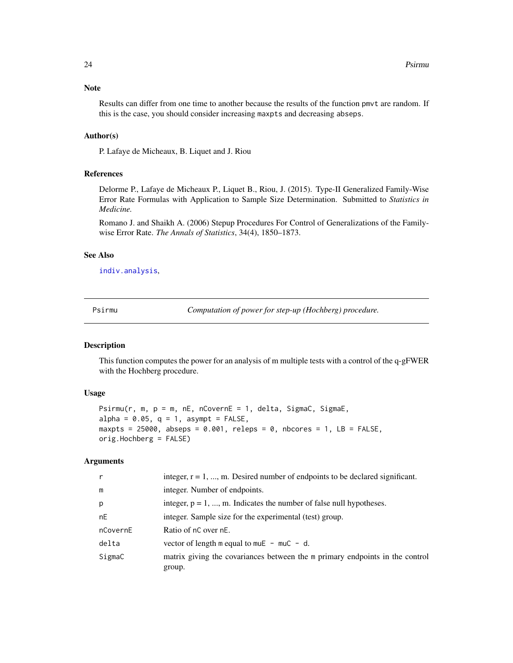## <span id="page-23-0"></span>Note

Results can differ from one time to another because the results of the function pmvt are random. If this is the case, you should consider increasing maxpts and decreasing abseps.

## Author(s)

P. Lafaye de Micheaux, B. Liquet and J. Riou

## References

Delorme P., Lafaye de Micheaux P., Liquet B., Riou, J. (2015). Type-II Generalized Family-Wise Error Rate Formulas with Application to Sample Size Determination. Submitted to *Statistics in Medicine.*

Romano J. and Shaikh A. (2006) Stepup Procedures For Control of Generalizations of the Familywise Error Rate. *The Annals of Statistics*, 34(4), 1850–1873.

## See Also

[indiv.analysis](#page-11-1),

Psirmu *Computation of power for step-up (Hochberg) procedure.*

## Description

This function computes the power for an analysis of m multiple tests with a control of the q-gFWER with the Hochberg procedure.

#### Usage

```
Psim(r, m, p = m, nE, nCovernE = 1, delta, SigmaC, SigmaE,alpha = 0.05, q = 1, asympt = FALSE,
maxpts = 25000, abseps = 0.001, releps = 0, nbcores = 1, LB = FALSE,
orig.Hochberg = FALSE)
```
## Arguments

| $\mathsf{r}$ | integer, $r = 1, , m$ . Desired number of endpoints to be declared significant.        |
|--------------|----------------------------------------------------------------------------------------|
| m            | integer. Number of endpoints.                                                          |
| p            | integer, $p = 1, , m$ . Indicates the number of false null hypotheses.                 |
| nE           | integer. Sample size for the experimental (test) group.                                |
| nCovernE     | Ratio of nC over nE.                                                                   |
| delta        | vector of length m equal to muE $-$ muC $-$ d.                                         |
| SigmaC       | matrix giving the covariances between the m primary endpoints in the control<br>group. |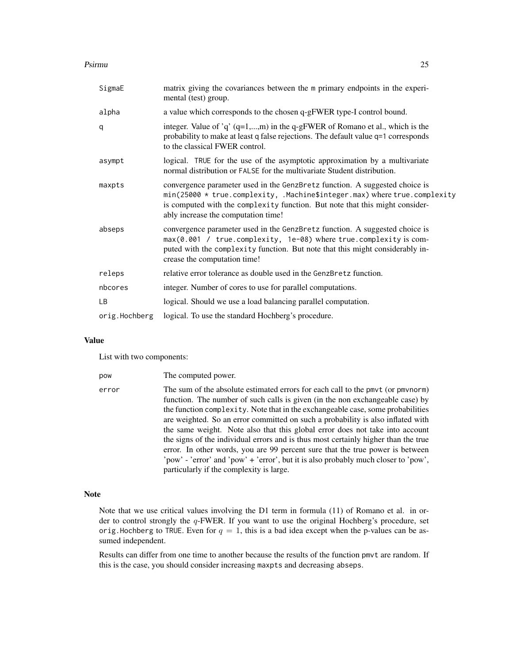#### Psirmu 25

| SigmaE        | matrix giving the covariances between the m primary endpoints in the experi-<br>mental (test) group.                                                                                                                                                                            |
|---------------|---------------------------------------------------------------------------------------------------------------------------------------------------------------------------------------------------------------------------------------------------------------------------------|
| alpha         | a value which corresponds to the chosen q-gFWER type-I control bound.                                                                                                                                                                                                           |
| q             | integer. Value of 'q' $(q=1,,m)$ in the q-gFWER of Romano et al., which is the<br>probability to make at least q false rejections. The default value q=1 corresponds<br>to the classical FWER control.                                                                          |
| asympt        | logical. TRUE for the use of the asymptotic approximation by a multivariate<br>normal distribution or FALSE for the multivariate Student distribution.                                                                                                                          |
| maxpts        | convergence parameter used in the GenzBretz function. A suggested choice is<br>min(25000 * true.complexity, .Machine\$integer.max) where true.complexity<br>is computed with the complexity function. But note that this might consider-<br>ably increase the computation time! |
| abseps        | convergence parameter used in the GenzBretz function. A suggested choice is<br>max(0.001 / true.complexity, 1e-08) where true.complexity is com-<br>puted with the complexity function. But note that this might considerably in-<br>crease the computation time!               |
| releps        | relative error tolerance as double used in the GenzBretz function.                                                                                                                                                                                                              |
| nbcores       | integer. Number of cores to use for parallel computations.                                                                                                                                                                                                                      |
| LB.           | logical. Should we use a load balancing parallel computation.                                                                                                                                                                                                                   |
| orig.Hochberg | logical. To use the standard Hochberg's procedure.                                                                                                                                                                                                                              |

## Value

List with two components:

| pow   | The computed power.                                                                                                                                                                                                                                                                                                                                                                                                                                                                                                                                                                                                                                                                 |
|-------|-------------------------------------------------------------------------------------------------------------------------------------------------------------------------------------------------------------------------------------------------------------------------------------------------------------------------------------------------------------------------------------------------------------------------------------------------------------------------------------------------------------------------------------------------------------------------------------------------------------------------------------------------------------------------------------|
| error | The sum of the absolute estimated errors for each call to the pmvt (or pmvnorm)<br>function. The number of such calls is given (in the non exchangeable case) by<br>the function complexity. Note that in the exchangeable case, some probabilities<br>are weighted. So an error committed on such a probability is also inflated with<br>the same weight. Note also that this global error does not take into account<br>the signs of the individual errors and is thus most certainly higher than the true<br>error. In other words, you are 99 percent sure that the true power is between<br>'pow' - 'error' and 'pow' + 'error', but it is also probably much closer to 'pow', |
|       | particularly if the complexity is large.                                                                                                                                                                                                                                                                                                                                                                                                                                                                                                                                                                                                                                            |

## Note

Note that we use critical values involving the D1 term in formula (11) of Romano et al. in order to control strongly the  $q$ -FWER. If you want to use the original Hochberg's procedure, set orig. Hochberg to TRUE. Even for  $q = 1$ , this is a bad idea except when the p-values can be assumed independent.

Results can differ from one time to another because the results of the function pmvt are random. If this is the case, you should consider increasing maxpts and decreasing abseps.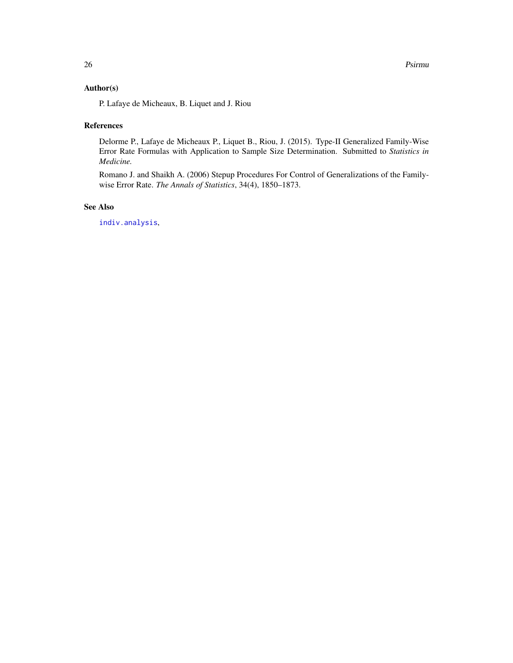## <span id="page-25-0"></span>Author(s)

P. Lafaye de Micheaux, B. Liquet and J. Riou

## References

Delorme P., Lafaye de Micheaux P., Liquet B., Riou, J. (2015). Type-II Generalized Family-Wise Error Rate Formulas with Application to Sample Size Determination. Submitted to *Statistics in Medicine.*

Romano J. and Shaikh A. (2006) Stepup Procedures For Control of Generalizations of the Familywise Error Rate. *The Annals of Statistics*, 34(4), 1850–1873.

## See Also

[indiv.analysis](#page-11-1),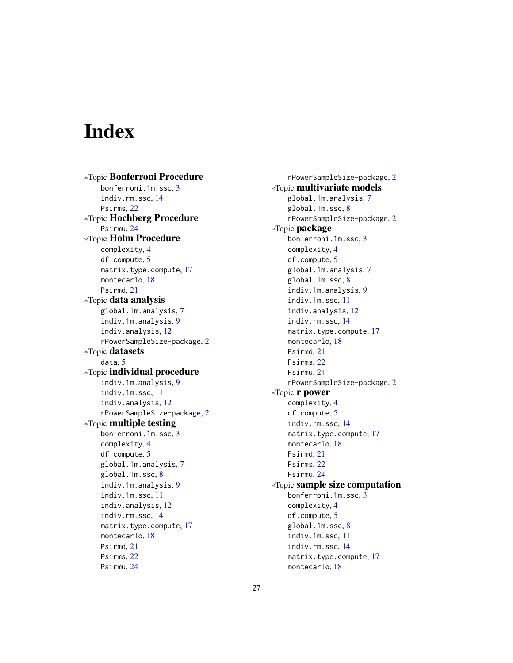# <span id="page-26-0"></span>**Index**

∗Topic Bonferroni Procedure bonferroni.1m.ssc, [3](#page-2-0) indiv.rm.ssc, [14](#page-13-0) Psirms, [22](#page-21-0) ∗Topic Hochberg Procedure Psirmu, [24](#page-23-0) ∗Topic Holm Procedure complexity, [4](#page-3-0) df.compute, [5](#page-4-0) matrix.type.compute, [17](#page-16-0) montecarlo, [18](#page-17-0) Psirmd, [21](#page-20-0) ∗Topic data analysis global.1m.analysis, [7](#page-6-0) indiv.1m.analysis, [9](#page-8-0) indiv.analysis, [12](#page-11-0) rPowerSampleSize-package, [2](#page-1-0) ∗Topic datasets data, [5](#page-4-0) ∗Topic individual procedure indiv.1m.analysis, [9](#page-8-0) indiv.1m.ssc, [11](#page-10-0) indiv.analysis, [12](#page-11-0) rPowerSampleSize-package, [2](#page-1-0) ∗Topic multiple testing bonferroni.1m.ssc, [3](#page-2-0) complexity, [4](#page-3-0) df.compute, [5](#page-4-0) global.1m.analysis, [7](#page-6-0) global.1m.ssc, [8](#page-7-0) indiv.1m.analysis, [9](#page-8-0) indiv.1m.ssc, [11](#page-10-0) indiv.analysis, [12](#page-11-0) indiv.rm.ssc, [14](#page-13-0) matrix.type.compute, [17](#page-16-0) montecarlo, [18](#page-17-0) Psirmd, [21](#page-20-0) Psirms, [22](#page-21-0) Psirmu, [24](#page-23-0)

rPowerSampleSize-package, [2](#page-1-0) ∗Topic multivariate models global.1m.analysis, [7](#page-6-0) global.1m.ssc, [8](#page-7-0) rPowerSampleSize-package, [2](#page-1-0) ∗Topic package bonferroni.1m.ssc, [3](#page-2-0) complexity, [4](#page-3-0) df.compute, [5](#page-4-0) global.1m.analysis, [7](#page-6-0) global.1m.ssc, [8](#page-7-0) indiv.1m.analysis, [9](#page-8-0) indiv.1m.ssc, [11](#page-10-0) indiv.analysis, [12](#page-11-0) indiv.rm.ssc, [14](#page-13-0) matrix.type.compute, [17](#page-16-0) montecarlo, [18](#page-17-0) Psirmd, [21](#page-20-0) Psirms, [22](#page-21-0) Psirmu, [24](#page-23-0) rPowerSampleSize-package, [2](#page-1-0) ∗Topic r power complexity, [4](#page-3-0) df.compute, [5](#page-4-0) indiv.rm.ssc, [14](#page-13-0) matrix.type.compute, [17](#page-16-0) montecarlo, [18](#page-17-0) Psirmd, [21](#page-20-0) Psirms, [22](#page-21-0) Psirmu, [24](#page-23-0) ∗Topic sample size computation bonferroni.1m.ssc, [3](#page-2-0) complexity, [4](#page-3-0) df.compute, [5](#page-4-0) global.1m.ssc, [8](#page-7-0) indiv.1m.ssc, [11](#page-10-0) indiv.rm.ssc, [14](#page-13-0) matrix.type.compute, [17](#page-16-0) montecarlo, [18](#page-17-0)